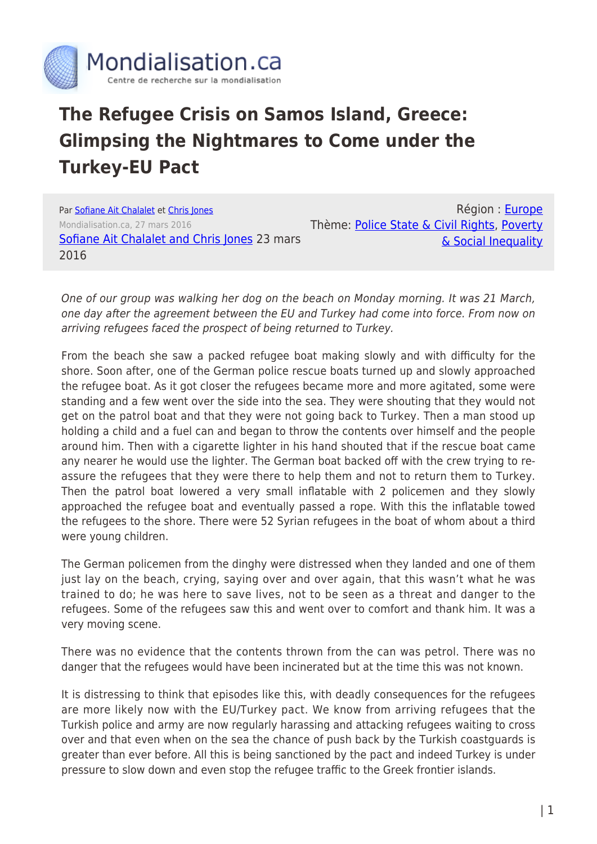

## **The Refugee Crisis on Samos Island, Greece: Glimpsing the Nightmares to Come under the Turkey-EU Pact**

Par [Sofiane Ait Chalalet](https://www.mondialisation.ca/author/sofiane-ait-chalalet) et [Chris Jones](https://www.mondialisation.ca/author/chris-jones) Mondialisation.ca, 27 mars 2016 [Sofiane Ait Chalalet and Chris Jones](https://samoschronicles.wordpress.com/2016/03/23/samos-island-greece-march-21-day-2-of-the-euturkey-pact-glimpsing-the-nightmares-to-come/) 23 mars 2016

Région : [Europe](https://www.mondialisation.ca/region/europe) Thème: [Police State & Civil Rights](https://www.mondialisation.ca/theme/police-state-civil-rights), [Poverty](https://www.mondialisation.ca/theme/poverty-social-inequality) [& Social Inequality](https://www.mondialisation.ca/theme/poverty-social-inequality)

One of our group was walking her dog on the beach on Monday morning. It was 21 March, one day after the agreement between the EU and Turkey had come into force. From now on arriving refugees faced the prospect of being returned to Turkey.

From the beach she saw a packed refugee boat making slowly and with difficulty for the shore. Soon after, one of the German police rescue boats turned up and slowly approached the refugee boat. As it got closer the refugees became more and more agitated, some were standing and a few went over the side into the sea. They were shouting that they would not get on the patrol boat and that they were not going back to Turkey. Then a man stood up holding a child and a fuel can and began to throw the contents over himself and the people around him. Then with a cigarette lighter in his hand shouted that if the rescue boat came any nearer he would use the lighter. The German boat backed off with the crew trying to reassure the refugees that they were there to help them and not to return them to Turkey. Then the patrol boat lowered a very small inflatable with 2 policemen and they slowly approached the refugee boat and eventually passed a rope. With this the inflatable towed the refugees to the shore. There were 52 Syrian refugees in the boat of whom about a third were young children.

The German policemen from the dinghy were distressed when they landed and one of them just lay on the beach, crying, saying over and over again, that this wasn't what he was trained to do; he was here to save lives, not to be seen as a threat and danger to the refugees. Some of the refugees saw this and went over to comfort and thank him. It was a very moving scene.

There was no evidence that the contents thrown from the can was petrol. There was no danger that the refugees would have been incinerated but at the time this was not known.

It is distressing to think that episodes like this, with deadly consequences for the refugees are more likely now with the EU/Turkey pact. We know from arriving refugees that the Turkish police and army are now regularly harassing and attacking refugees waiting to cross over and that even when on the sea the chance of push back by the Turkish coastguards is greater than ever before. All this is being sanctioned by the pact and indeed Turkey is under pressure to slow down and even stop the refugee traffic to the Greek frontier islands.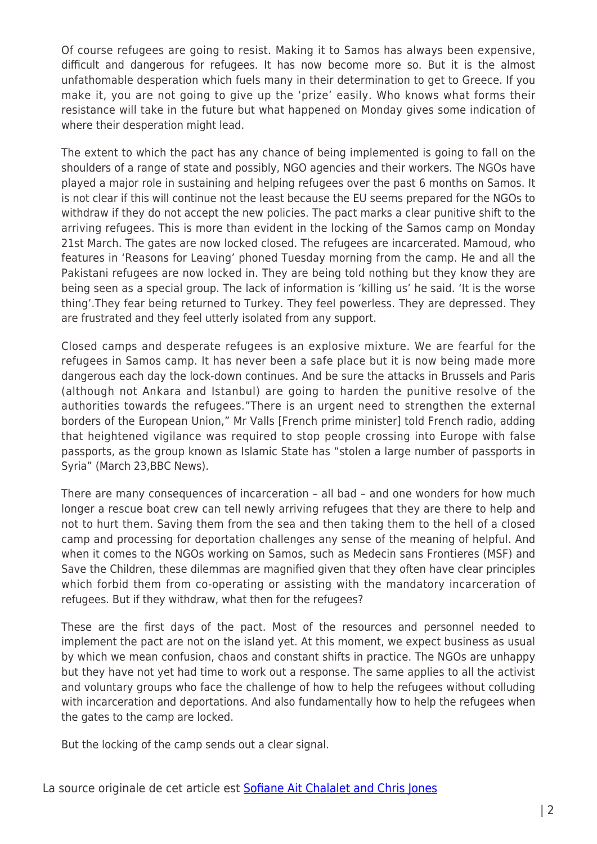Of course refugees are going to resist. Making it to Samos has always been expensive, difficult and dangerous for refugees. It has now become more so. But it is the almost unfathomable desperation which fuels many in their determination to get to Greece. If you make it, you are not going to give up the 'prize' easily. Who knows what forms their resistance will take in the future but what happened on Monday gives some indication of where their desperation might lead.

The extent to which the pact has any chance of being implemented is going to fall on the shoulders of a range of state and possibly, NGO agencies and their workers. The NGOs have played a major role in sustaining and helping refugees over the past 6 months on Samos. It is not clear if this will continue not the least because the EU seems prepared for the NGOs to withdraw if they do not accept the new policies. The pact marks a clear punitive shift to the arriving refugees. This is more than evident in the locking of the Samos camp on Monday 21st March. The gates are now locked closed. The refugees are incarcerated. Mamoud, who features in 'Reasons for Leaving' phoned Tuesday morning from the camp. He and all the Pakistani refugees are now locked in. They are being told nothing but they know they are being seen as a special group. The lack of information is 'killing us' he said. 'It is the worse thing'.They fear being returned to Turkey. They feel powerless. They are depressed. They are frustrated and they feel utterly isolated from any support.

Closed camps and desperate refugees is an explosive mixture. We are fearful for the refugees in Samos camp. It has never been a safe place but it is now being made more dangerous each day the lock-down continues. And be sure the attacks in Brussels and Paris (although not Ankara and Istanbul) are going to harden the punitive resolve of the authorities towards the refugees."There is an urgent need to strengthen the external borders of the European Union," Mr Valls [French prime minister] told French radio, adding that heightened vigilance was required to stop people crossing into Europe with false passports, as the group known as Islamic State has "stolen a large number of passports in Syria" (March 23,BBC News).

There are many consequences of incarceration – all bad – and one wonders for how much longer a rescue boat crew can tell newly arriving refugees that they are there to help and not to hurt them. Saving them from the sea and then taking them to the hell of a closed camp and processing for deportation challenges any sense of the meaning of helpful. And when it comes to the NGOs working on Samos, such as Medecin sans Frontieres (MSF) and Save the Children, these dilemmas are magnified given that they often have clear principles which forbid them from co-operating or assisting with the mandatory incarceration of refugees. But if they withdraw, what then for the refugees?

These are the first days of the pact. Most of the resources and personnel needed to implement the pact are not on the island yet. At this moment, we expect business as usual by which we mean confusion, chaos and constant shifts in practice. The NGOs are unhappy but they have not yet had time to work out a response. The same applies to all the activist and voluntary groups who face the challenge of how to help the refugees without colluding with incarceration and deportations. And also fundamentally how to help the refugees when the gates to the camp are locked.

But the locking of the camp sends out a clear signal.